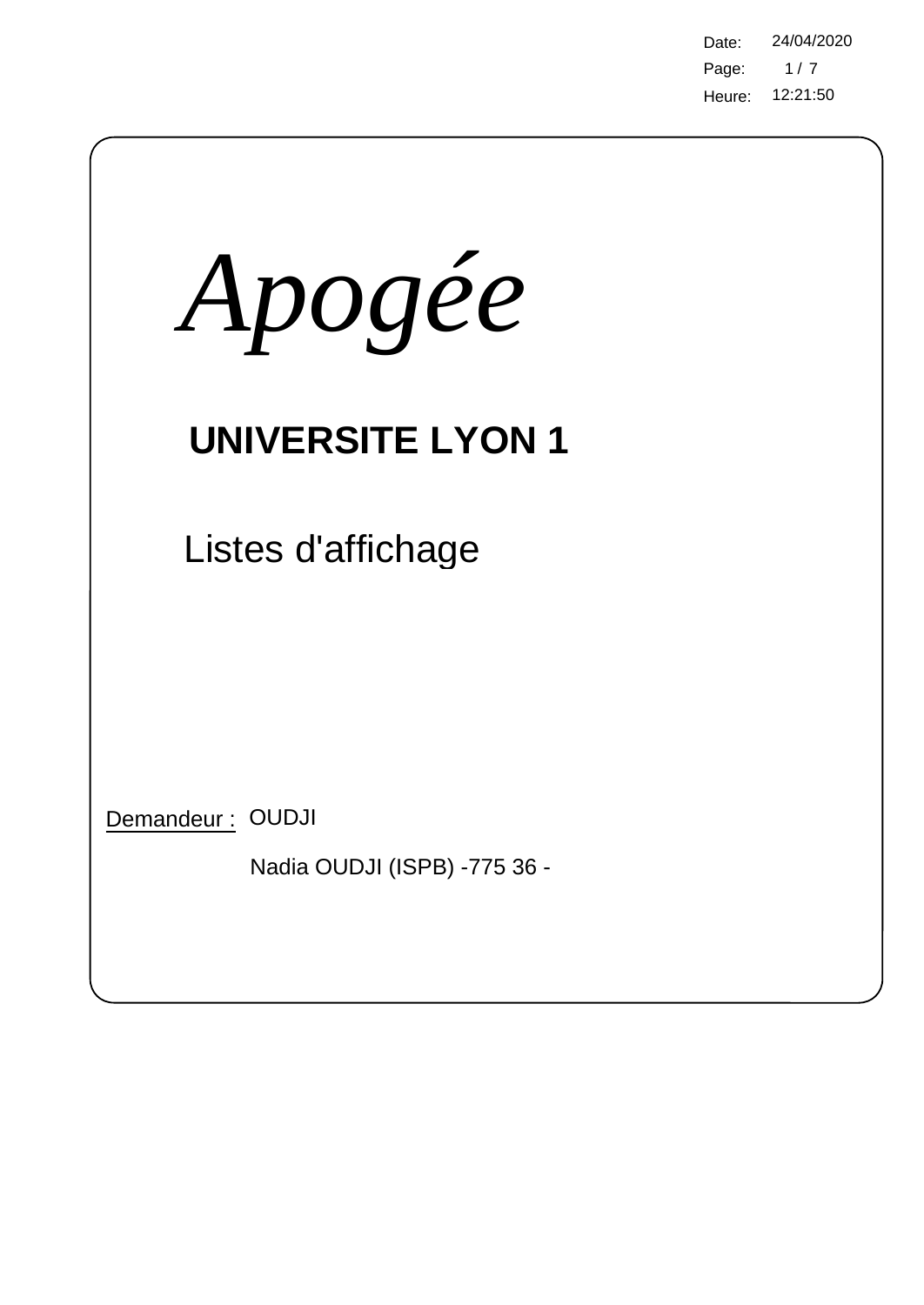Page: Heure: 12:21:50 Date: 24/04/2020  $1/7$ 

| Apogée                                           |  |
|--------------------------------------------------|--|
| <b>UNIVERSITE LYON 1</b>                         |  |
| Listes d'affichage                               |  |
|                                                  |  |
| Demandeur: OUDJI<br>Nadia OUDJI (ISPB) -775 36 - |  |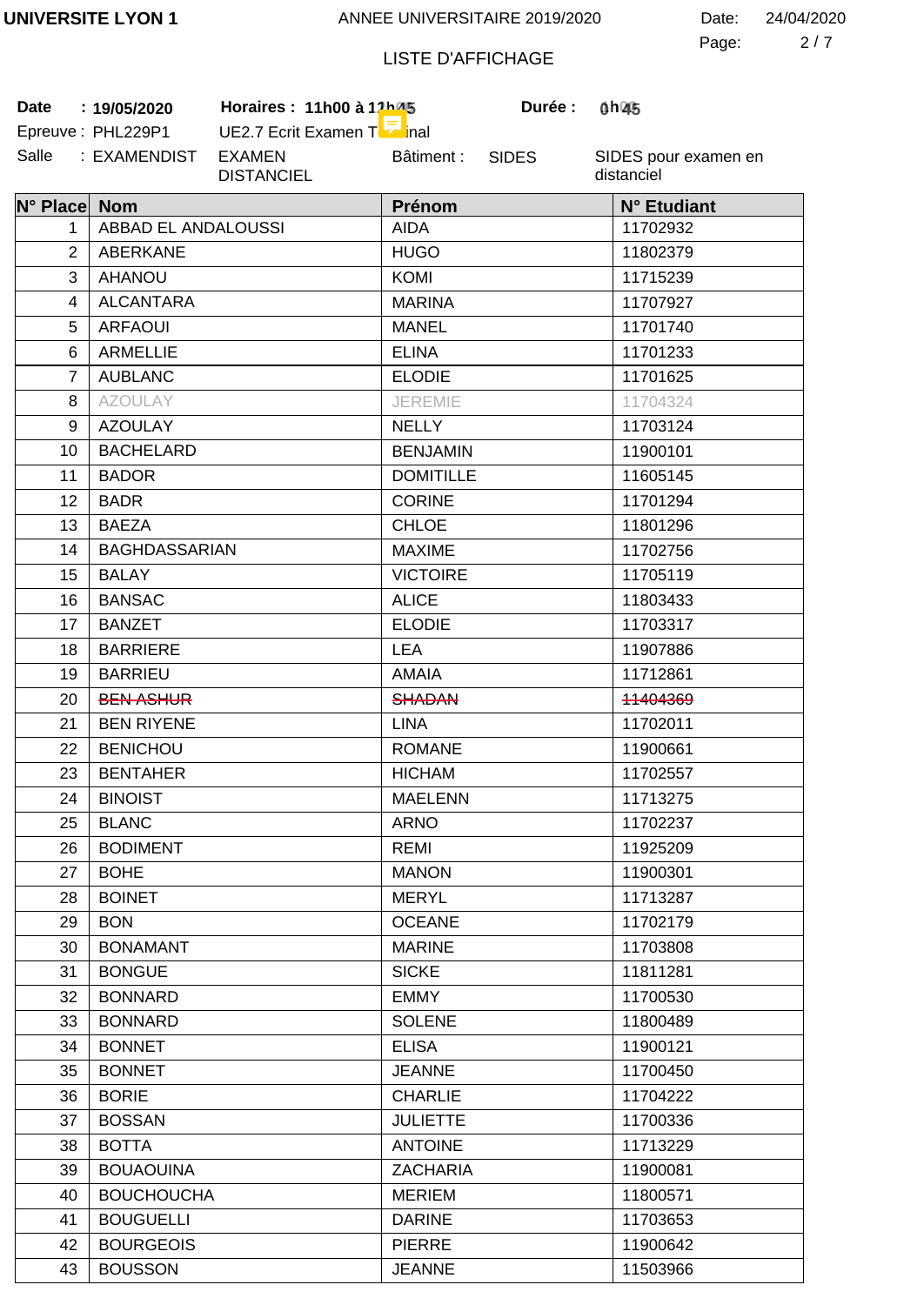2 7 Page: Date: 24/04/2020

# LISTE D'AFFICHAGE

SIDES

**1 45 0 45**

Salle : EXAMENDIST EXAMEN Date: 19/05/2020 Epreuve: PHL229P1

UE2.7 Ecrit Examen Terminal DISTANCIEL Bâtiment :

**Date 19/05/2020 Horaires : 11h00 à 12h00 Durée : 1h00**

| N° Place Nom   |                      | Prénom           | N° Etudiant |
|----------------|----------------------|------------------|-------------|
| 1.             | ABBAD EL ANDALOUSSI  | <b>AIDA</b>      | 11702932    |
| $\overline{2}$ | ABERKANE             | <b>HUGO</b>      | 11802379    |
| 3              | <b>AHANOU</b>        | <b>KOMI</b>      | 11715239    |
| 4              | <b>ALCANTARA</b>     | <b>MARINA</b>    | 11707927    |
| 5              | <b>ARFAOUI</b>       | <b>MANEL</b>     | 11701740    |
| 6              | <b>ARMELLIE</b>      | <b>ELINA</b>     | 11701233    |
| $\overline{7}$ | <b>AUBLANC</b>       | <b>ELODIE</b>    | 11701625    |
| 8              | <b>AZOULAY</b>       | <b>JEREMIE</b>   | 11704324    |
| 9              | <b>AZOULAY</b>       | <b>NELLY</b>     | 11703124    |
| 10             | <b>BACHELARD</b>     | <b>BENJAMIN</b>  | 11900101    |
| 11             | <b>BADOR</b>         | <b>DOMITILLE</b> | 11605145    |
| 12             | <b>BADR</b>          | <b>CORINE</b>    | 11701294    |
| 13             | <b>BAEZA</b>         | <b>CHLOE</b>     | 11801296    |
| 14             | <b>BAGHDASSARIAN</b> | <b>MAXIME</b>    | 11702756    |
| 15             | <b>BALAY</b>         | <b>VICTOIRE</b>  | 11705119    |
| 16             | <b>BANSAC</b>        | <b>ALICE</b>     | 11803433    |
| 17             | <b>BANZET</b>        | <b>ELODIE</b>    | 11703317    |
| 18             | <b>BARRIERE</b>      | <b>LEA</b>       | 11907886    |
| 19             | <b>BARRIEU</b>       | <b>AMAIA</b>     | 11712861    |
| 20             | <b>BEN ASHUR</b>     | <b>SHADAN</b>    | 11404369    |
| 21             | <b>BEN RIYENE</b>    | <b>LINA</b>      | 11702011    |
| 22             | <b>BENICHOU</b>      | <b>ROMANE</b>    | 11900661    |
| 23             | <b>BENTAHER</b>      | <b>HICHAM</b>    | 11702557    |
| 24             | <b>BINOIST</b>       | <b>MAELENN</b>   | 11713275    |
| 25             | <b>BLANC</b>         | <b>ARNO</b>      | 11702237    |
| 26             | <b>BODIMENT</b>      | REMI             | 11925209    |
| 27             | <b>BOHE</b>          | <b>MANON</b>     | 11900301    |
| 28             | <b>BOINET</b>        | <b>MERYL</b>     | 11713287    |
| 29             | <b>BON</b>           | <b>OCEANE</b>    | 11702179    |
| 30             | <b>BONAMANT</b>      | <b>MARINE</b>    | 11703808    |
| 31             | <b>BONGUE</b>        | <b>SICKE</b>     | 11811281    |
| 32             | <b>BONNARD</b>       | <b>EMMY</b>      | 11700530    |
| 33             | <b>BONNARD</b>       | <b>SOLENE</b>    | 11800489    |
| 34             | <b>BONNET</b>        | <b>ELISA</b>     | 11900121    |
| 35             | <b>BONNET</b>        | <b>JEANNE</b>    | 11700450    |
| 36             | <b>BORIE</b>         | <b>CHARLIE</b>   | 11704222    |
| 37             | <b>BOSSAN</b>        | <b>JULIETTE</b>  | 11700336    |
| 38             | <b>BOTTA</b>         | <b>ANTOINE</b>   | 11713229    |
| 39             | <b>BOUAOUINA</b>     | <b>ZACHARIA</b>  | 11900081    |
| 40             | <b>BOUCHOUCHA</b>    | <b>MERIEM</b>    | 11800571    |
| 41             | <b>BOUGUELLI</b>     | <b>DARINE</b>    | 11703653    |
| 42             | <b>BOURGEOIS</b>     | <b>PIERRE</b>    | 11900642    |
| 43             | <b>BOUSSON</b>       | <b>JEANNE</b>    | 11503966    |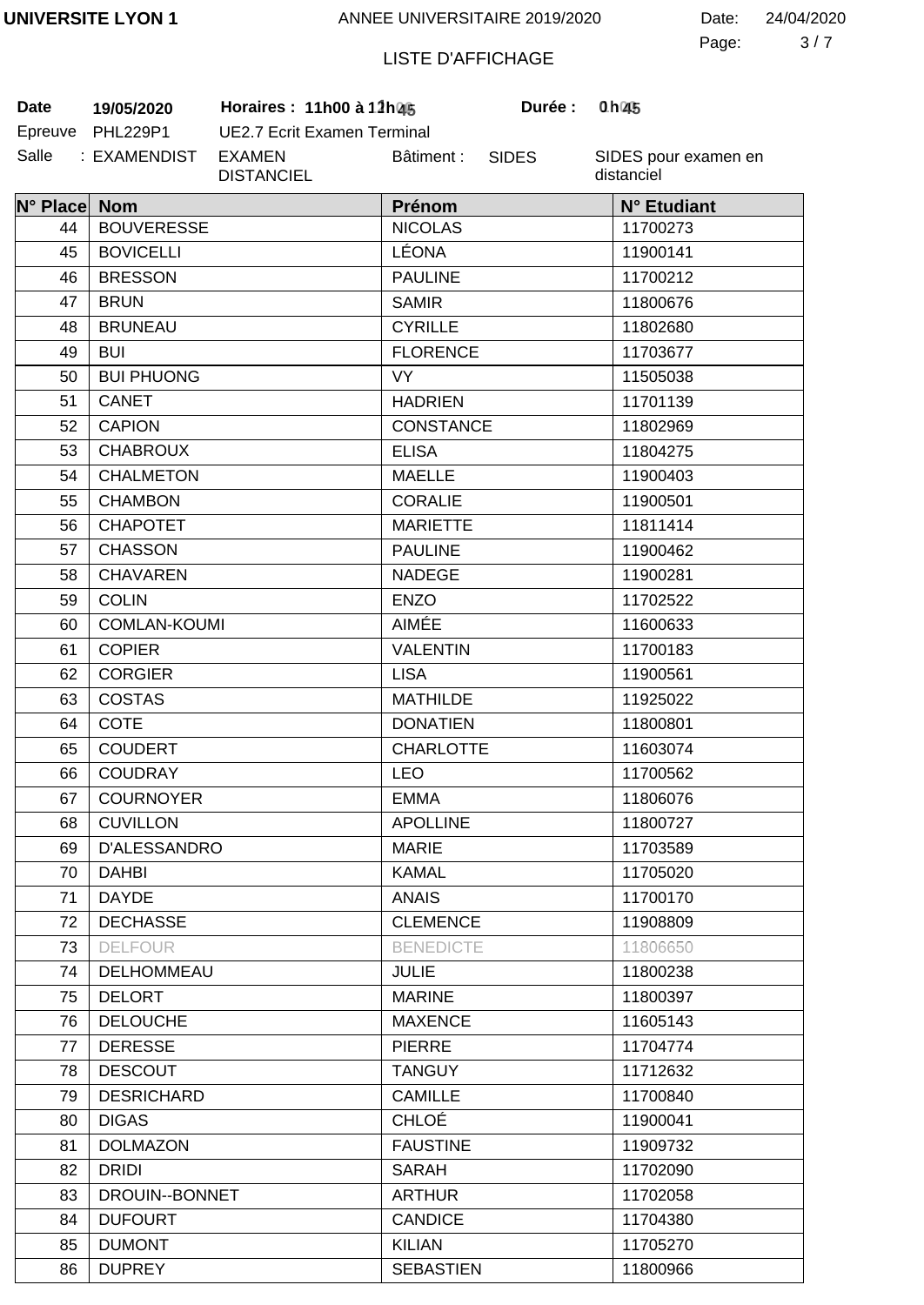3 7 Page: Date: 24/04/2020

# LISTE D'AFFICHAGE

SIDES

**Durée:** 

Salle : EXAMENDIST EXAMEN **Date 19/05/2020 Horaires : 11h00 à 12h00 Durée : 1h00**

Epreuve PHL229P1 UE2.7 Ecrit Examen Terminal DISTANCIEL Bâtiment :

| N° Place Nom |                     | Prénom           | N° Etudiant |
|--------------|---------------------|------------------|-------------|
| 44           | <b>BOUVERESSE</b>   | <b>NICOLAS</b>   | 11700273    |
| 45           | <b>BOVICELLI</b>    | LÉONA            | 11900141    |
| 46           | <b>BRESSON</b>      | <b>PAULINE</b>   | 11700212    |
| 47           | <b>BRUN</b>         | <b>SAMIR</b>     | 11800676    |
| 48           | <b>BRUNEAU</b>      | <b>CYRILLE</b>   | 11802680    |
| 49           | <b>BUI</b>          | <b>FLORENCE</b>  | 11703677    |
| 50           | <b>BUI PHUONG</b>   | <b>VY</b>        | 11505038    |
| 51           | <b>CANET</b>        | <b>HADRIEN</b>   | 11701139    |
| 52           | <b>CAPION</b>       | <b>CONSTANCE</b> | 11802969    |
| 53           | <b>CHABROUX</b>     | <b>ELISA</b>     | 11804275    |
| 54           | <b>CHALMETON</b>    | <b>MAELLE</b>    | 11900403    |
| 55           | <b>CHAMBON</b>      | <b>CORALIE</b>   | 11900501    |
| 56           | <b>CHAPOTET</b>     | <b>MARIETTE</b>  | 11811414    |
| 57           | <b>CHASSON</b>      | <b>PAULINE</b>   | 11900462    |
| 58           | <b>CHAVAREN</b>     | <b>NADEGE</b>    | 11900281    |
| 59           | <b>COLIN</b>        | <b>ENZO</b>      | 11702522    |
| 60           | <b>COMLAN-KOUMI</b> | AIMÉE            | 11600633    |
| 61           | <b>COPIER</b>       | <b>VALENTIN</b>  | 11700183    |
| 62           | <b>CORGIER</b>      | <b>LISA</b>      | 11900561    |
| 63           | <b>COSTAS</b>       | <b>MATHILDE</b>  | 11925022    |
| 64           | <b>COTE</b>         | <b>DONATIEN</b>  | 11800801    |
| 65           | <b>COUDERT</b>      | <b>CHARLOTTE</b> | 11603074    |
| 66           | <b>COUDRAY</b>      | <b>LEO</b>       | 11700562    |
| 67           | <b>COURNOYER</b>    | <b>EMMA</b>      | 11806076    |
| 68           | <b>CUVILLON</b>     | <b>APOLLINE</b>  | 11800727    |
| 69           | D'ALESSANDRO        | <b>MARIE</b>     | 11703589    |
| 70           | <b>DAHBI</b>        | <b>KAMAL</b>     | 11705020    |
| 71           | <b>DAYDE</b>        | <b>ANAIS</b>     | 11700170    |
| 72           | <b>DECHASSE</b>     | <b>CLEMENCE</b>  | 11908809    |
| 73           | <b>DELFOUR</b>      | <b>BENEDICTE</b> | 11806650    |
| 74           | DELHOMMEAU          | <b>JULIE</b>     | 11800238    |
| 75           | <b>DELORT</b>       | <b>MARINE</b>    | 11800397    |
| 76           | <b>DELOUCHE</b>     | <b>MAXENCE</b>   | 11605143    |
| 77           | <b>DERESSE</b>      | <b>PIERRE</b>    | 11704774    |
| 78           | <b>DESCOUT</b>      | <b>TANGUY</b>    | 11712632    |
| 79           | <b>DESRICHARD</b>   | <b>CAMILLE</b>   | 11700840    |
| 80           | <b>DIGAS</b>        | <b>CHLOÉ</b>     | 11900041    |
| 81           | <b>DOLMAZON</b>     | <b>FAUSTINE</b>  | 11909732    |
| 82           | <b>DRIDI</b>        | <b>SARAH</b>     | 11702090    |
| 83           | DROUIN--BONNET      | <b>ARTHUR</b>    | 11702058    |
| 84           | <b>DUFOURT</b>      | <b>CANDICE</b>   | 11704380    |
| 85           | <b>DUMONT</b>       | <b>KILIAN</b>    | 11705270    |
| 86           | <b>DUPREY</b>       | <b>SEBASTIEN</b> | 11800966    |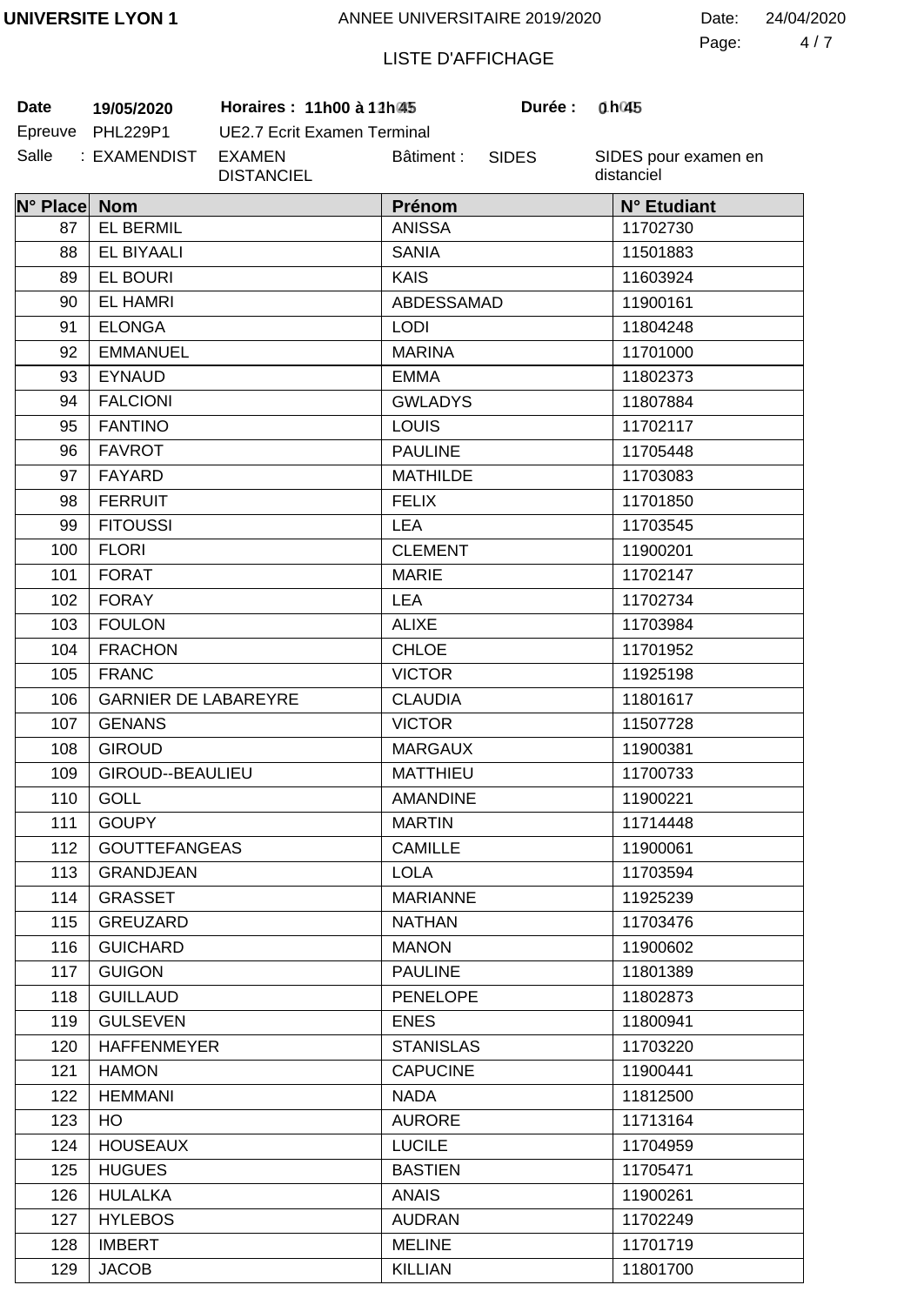4 7 Page: Date: 24/04/2020

# LISTE D'AFFICHAGE

**Date 19/05/2020 Horaires : 11h00 à 12h00 Durée : 1h00**

| Date    | 19/05/2020      |  |
|---------|-----------------|--|
| Epreuve | <b>PHL229P1</b> |  |
| Salle   | : EXAMENDIST    |  |

UE2.7 Ecrit Examen Terminal EXAMEN DISTANCIEL Bâtiment :

SIDES

**Durée:** 

| N° Place Nom |                             | Prénom           | N° Etudiant |
|--------------|-----------------------------|------------------|-------------|
| 87           | <b>EL BERMIL</b>            | <b>ANISSA</b>    | 11702730    |
| 88           | <b>EL BIYAALI</b>           | <b>SANIA</b>     | 11501883    |
| 89           | <b>EL BOURI</b>             | <b>KAIS</b>      | 11603924    |
| 90           | <b>EL HAMRI</b>             | ABDESSAMAD       | 11900161    |
| 91           | <b>ELONGA</b>               | <b>LODI</b>      | 11804248    |
| 92           | <b>EMMANUEL</b>             | <b>MARINA</b>    | 11701000    |
| 93           | <b>EYNAUD</b>               | <b>EMMA</b>      | 11802373    |
| 94           | <b>FALCIONI</b>             | <b>GWLADYS</b>   | 11807884    |
| 95           | <b>FANTINO</b>              | <b>LOUIS</b>     | 11702117    |
| 96           | <b>FAVROT</b>               | <b>PAULINE</b>   | 11705448    |
| 97           | FAYARD                      | <b>MATHILDE</b>  | 11703083    |
| 98           | <b>FERRUIT</b>              | <b>FELIX</b>     | 11701850    |
| 99           | <b>FITOUSSI</b>             | <b>LEA</b>       | 11703545    |
| 100          | <b>FLORI</b>                | <b>CLEMENT</b>   | 11900201    |
| 101          | <b>FORAT</b>                | <b>MARIE</b>     | 11702147    |
| 102          | <b>FORAY</b>                | <b>LEA</b>       | 11702734    |
| 103          | <b>FOULON</b>               | <b>ALIXE</b>     | 11703984    |
| 104          | <b>FRACHON</b>              | <b>CHLOE</b>     | 11701952    |
| 105          | <b>FRANC</b>                | <b>VICTOR</b>    | 11925198    |
| 106          | <b>GARNIER DE LABAREYRE</b> | <b>CLAUDIA</b>   | 11801617    |
| 107          | <b>GENANS</b>               | <b>VICTOR</b>    | 11507728    |
| 108          | <b>GIROUD</b>               | <b>MARGAUX</b>   | 11900381    |
| 109          | GIROUD--BEAULIEU            | <b>MATTHIEU</b>  | 11700733    |
| 110          | <b>GOLL</b>                 | <b>AMANDINE</b>  | 11900221    |
| 111          | <b>GOUPY</b>                | <b>MARTIN</b>    | 11714448    |
| 112          | <b>GOUTTEFANGEAS</b>        | CAMILLE          | 11900061    |
| 113          | <b>GRANDJEAN</b>            | <b>LOLA</b>      | 11703594    |
| 114          | <b>GRASSET</b>              | <b>MARIANNE</b>  | 11925239    |
| 115          | GREUZARD                    | <b>NATHAN</b>    | 11703476    |
| 116          | <b>GUICHARD</b>             | <b>MANON</b>     | 11900602    |
| 117          | <b>GUIGON</b>               | <b>PAULINE</b>   | 11801389    |
| 118          | <b>GUILLAUD</b>             | <b>PENELOPE</b>  | 11802873    |
| 119          | <b>GULSEVEN</b>             | <b>ENES</b>      | 11800941    |
| 120          | <b>HAFFENMEYER</b>          | <b>STANISLAS</b> | 11703220    |
| 121          | <b>HAMON</b>                | <b>CAPUCINE</b>  | 11900441    |
| 122          | <b>HEMMANI</b>              | <b>NADA</b>      | 11812500    |
| 123          | HO.                         | <b>AURORE</b>    | 11713164    |
| 124          | <b>HOUSEAUX</b>             | <b>LUCILE</b>    | 11704959    |
| 125          | <b>HUGUES</b>               | <b>BASTIEN</b>   | 11705471    |
| 126          | <b>HULALKA</b>              | <b>ANAIS</b>     | 11900261    |
| 127          | <b>HYLEBOS</b>              | <b>AUDRAN</b>    | 11702249    |
| 128          | <b>IMBERT</b>               | <b>MELINE</b>    | 11701719    |
| 129          | <b>JACOB</b>                | <b>KILLIAN</b>   | 11801700    |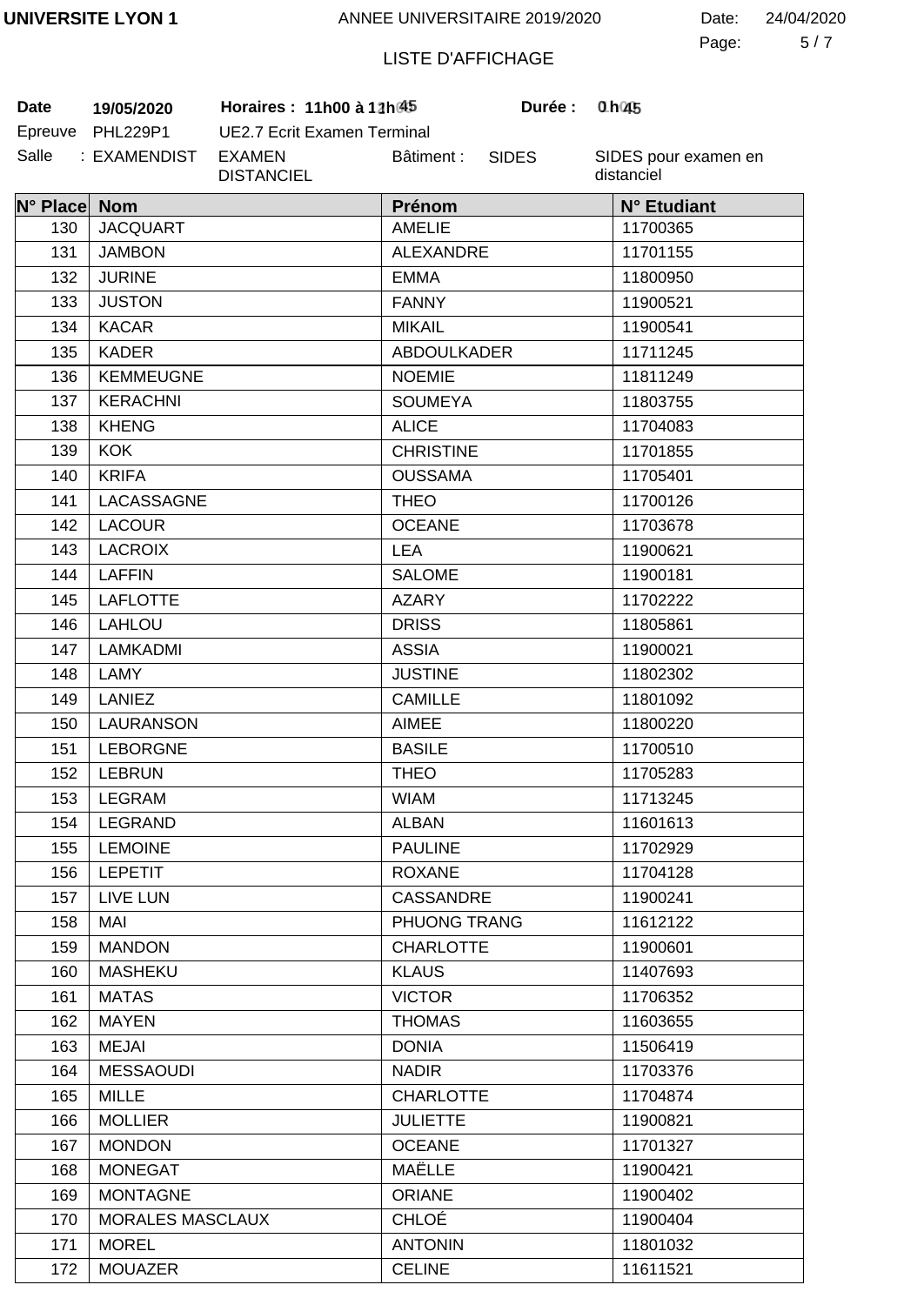5 7 Page: Date: 24/04/2020

# LISTE D'AFFICHAGE

Salle : EXAMENDIST EXAMEN **Date** 19/05/2020 **Horaires :** 11h00 à 12h $45$ 

> MOREL **MOUAZER**

171 172

Epreuve PHL229P1 UE2.7 Ecrit Examen Terminal DISTANCIEL Bâtiment : SIDES

SIDES pour examen en distanciel

**1 45 0 45**

| N° Place Nom |                         | Prénom             | N° Etudiant |
|--------------|-------------------------|--------------------|-------------|
| 130          | <b>JACQUART</b>         | <b>AMELIE</b>      | 11700365    |
| 131          | <b>JAMBON</b>           | <b>ALEXANDRE</b>   | 11701155    |
| 132          | <b>JURINE</b>           | <b>EMMA</b>        | 11800950    |
| 133          | <b>JUSTON</b>           | <b>FANNY</b>       | 11900521    |
| 134          | <b>KACAR</b>            | <b>MIKAIL</b>      | 11900541    |
| 135          | <b>KADER</b>            | <b>ABDOULKADER</b> | 11711245    |
| 136          | <b>KEMMEUGNE</b>        | <b>NOEMIE</b>      | 11811249    |
| 137          | <b>KERACHNI</b>         | <b>SOUMEYA</b>     | 11803755    |
| 138          | <b>KHENG</b>            | <b>ALICE</b>       | 11704083    |
| 139          | <b>KOK</b>              | <b>CHRISTINE</b>   | 11701855    |
| 140          | <b>KRIFA</b>            | <b>OUSSAMA</b>     | 11705401    |
| 141          | LACASSAGNE              | <b>THEO</b>        | 11700126    |
| 142          | <b>LACOUR</b>           | <b>OCEANE</b>      | 11703678    |
| 143          | <b>LACROIX</b>          | <b>LEA</b>         | 11900621    |
| 144          | <b>LAFFIN</b>           | <b>SALOME</b>      | 11900181    |
| 145          | <b>LAFLOTTE</b>         | <b>AZARY</b>       | 11702222    |
| 146          | <b>LAHLOU</b>           | <b>DRISS</b>       | 11805861    |
| 147          | LAMKADMI                | <b>ASSIA</b>       | 11900021    |
| 148          | LAMY                    | <b>JUSTINE</b>     | 11802302    |
| 149          | <b>LANIEZ</b>           | <b>CAMILLE</b>     | 11801092    |
| 150          | <b>LAURANSON</b>        | <b>AIMEE</b>       | 11800220    |
| 151          | <b>LEBORGNE</b>         | <b>BASILE</b>      | 11700510    |
| 152          | <b>LEBRUN</b>           | <b>THEO</b>        | 11705283    |
| 153          | <b>LEGRAM</b>           | <b>WIAM</b>        | 11713245    |
| 154          | <b>LEGRAND</b>          | <b>ALBAN</b>       | 11601613    |
| 155          | <b>LEMOINE</b>          | <b>PAULINE</b>     | 11702929    |
| 156          | <b>LEPETIT</b>          | <b>ROXANE</b>      | 11704128    |
| 157          | LIVE LUN                | <b>CASSANDRE</b>   | 11900241    |
| 158          | MAI                     | PHUONG TRANG       | 11612122    |
| 159          | <b>MANDON</b>           | <b>CHARLOTTE</b>   | 11900601    |
| 160          | <b>MASHEKU</b>          | <b>KLAUS</b>       | 11407693    |
| 161          | <b>MATAS</b>            | <b>VICTOR</b>      | 11706352    |
| 162          | <b>MAYEN</b>            | <b>THOMAS</b>      | 11603655    |
| 163          | <b>MEJAI</b>            | <b>DONIA</b>       | 11506419    |
| 164          | <b>MESSAOUDI</b>        | <b>NADIR</b>       | 11703376    |
| 165          | <b>MILLE</b>            | <b>CHARLOTTE</b>   | 11704874    |
| 166          | <b>MOLLIER</b>          | <b>JULIETTE</b>    | 11900821    |
| 167          | <b>MONDON</b>           | <b>OCEANE</b>      | 11701327    |
| 168          | <b>MONEGAT</b>          | MAËLLE             | 11900421    |
| 169          | <b>MONTAGNE</b>         | <b>ORIANE</b>      | 11900402    |
| 170          | <b>MORALES MASCLAUX</b> | CHLOÉ              | 11900404    |

ANTONIN **CELINE** 

11801032 11611521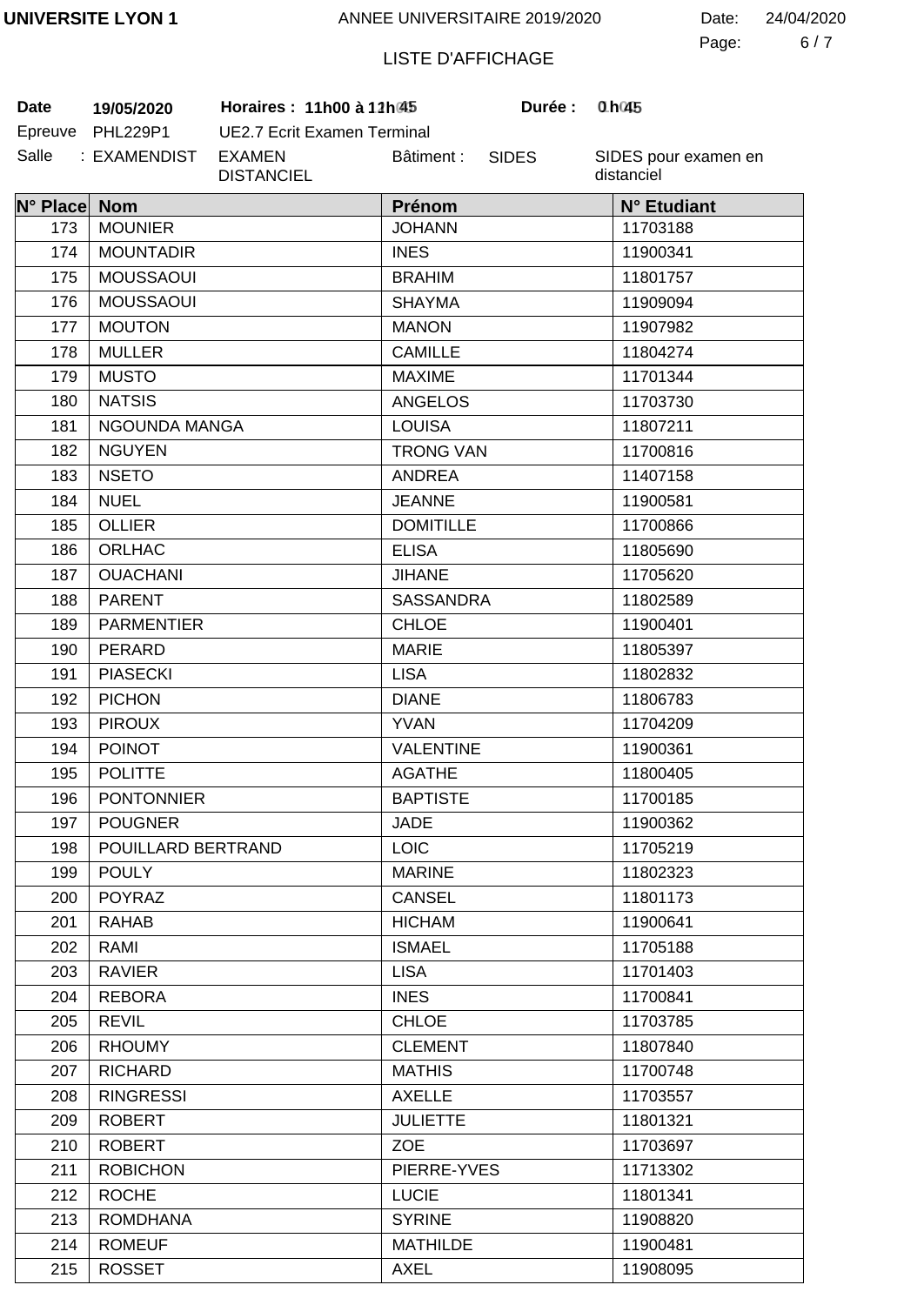6 7 Page: Date: 24/04/2020

# LISTE D'AFFICHAGE

**Date 19/05/2020 Horaires : 11h00 à 12h00 Durée : 1h00**

| Date    | 19/05/2020      |  |
|---------|-----------------|--|
| Epreuve | <b>PHL229P1</b> |  |
| Salle   | : EXAMENDIST    |  |

UE2.7 Ecrit Examen Terminal EXAMEN DISTANCIEL Bâtiment :

SIDES

**Durée:** 

| N° Place Nom |                    | Prénom           | N° Etudiant |
|--------------|--------------------|------------------|-------------|
| 173          | <b>MOUNIER</b>     | <b>JOHANN</b>    | 11703188    |
| 174          | <b>MOUNTADIR</b>   | <b>INES</b>      | 11900341    |
| 175          | <b>MOUSSAOUI</b>   | <b>BRAHIM</b>    | 11801757    |
| 176          | <b>MOUSSAOUI</b>   | <b>SHAYMA</b>    | 11909094    |
| 177          | <b>MOUTON</b>      | <b>MANON</b>     | 11907982    |
| 178          | <b>MULLER</b>      | <b>CAMILLE</b>   | 11804274    |
| 179          | <b>MUSTO</b>       | <b>MAXIME</b>    | 11701344    |
| 180          | <b>NATSIS</b>      | <b>ANGELOS</b>   | 11703730    |
| 181          | NGOUNDA MANGA      | <b>LOUISA</b>    | 11807211    |
| 182          | <b>NGUYEN</b>      | <b>TRONG VAN</b> | 11700816    |
| 183          | <b>NSETO</b>       | <b>ANDREA</b>    | 11407158    |
| 184          | <b>NUEL</b>        | <b>JEANNE</b>    | 11900581    |
| 185          | <b>OLLIER</b>      | <b>DOMITILLE</b> | 11700866    |
| 186          | <b>ORLHAC</b>      | <b>ELISA</b>     | 11805690    |
| 187          | <b>OUACHANI</b>    | <b>JIHANE</b>    | 11705620    |
| 188          | <b>PARENT</b>      | <b>SASSANDRA</b> | 11802589    |
| 189          | <b>PARMENTIER</b>  | <b>CHLOE</b>     | 11900401    |
| 190          | PERARD             | <b>MARIE</b>     | 11805397    |
| 191          | <b>PIASECKI</b>    | <b>LISA</b>      | 11802832    |
| 192          | <b>PICHON</b>      | <b>DIANE</b>     | 11806783    |
| 193          | <b>PIROUX</b>      | <b>YVAN</b>      | 11704209    |
| 194          | <b>POINOT</b>      | <b>VALENTINE</b> | 11900361    |
| 195          | <b>POLITTE</b>     | <b>AGATHE</b>    | 11800405    |
| 196          | <b>PONTONNIER</b>  | <b>BAPTISTE</b>  | 11700185    |
| 197          | <b>POUGNER</b>     | <b>JADE</b>      | 11900362    |
| 198          | POUILLARD BERTRAND | LOIC             | 11705219    |
| 199          | <b>POULY</b>       | <b>MARINE</b>    | 11802323    |
| 200          | <b>POYRAZ</b>      | <b>CANSEL</b>    | 11801173    |
| 201          | <b>RAHAB</b>       | <b>HICHAM</b>    | 11900641    |
| 202          | RAMI               | <b>ISMAEL</b>    | 11705188    |
| 203          | <b>RAVIER</b>      | <b>LISA</b>      | 11701403    |
| 204          | <b>REBORA</b>      | <b>INES</b>      | 11700841    |
| 205          | <b>REVIL</b>       | <b>CHLOE</b>     | 11703785    |
| 206          | <b>RHOUMY</b>      | <b>CLEMENT</b>   | 11807840    |
| 207          | <b>RICHARD</b>     | <b>MATHIS</b>    | 11700748    |
| 208          | <b>RINGRESSI</b>   | <b>AXELLE</b>    | 11703557    |
| 209          | <b>ROBERT</b>      | <b>JULIETTE</b>  | 11801321    |
| 210          | <b>ROBERT</b>      | <b>ZOE</b>       | 11703697    |
| 211          | <b>ROBICHON</b>    | PIERRE-YVES      | 11713302    |
| 212          | <b>ROCHE</b>       | <b>LUCIE</b>     | 11801341    |
| 213          | <b>ROMDHANA</b>    | <b>SYRINE</b>    | 11908820    |
| 214          | <b>ROMEUF</b>      | <b>MATHILDE</b>  | 11900481    |
| 215          | <b>ROSSET</b>      | <b>AXEL</b>      | 11908095    |